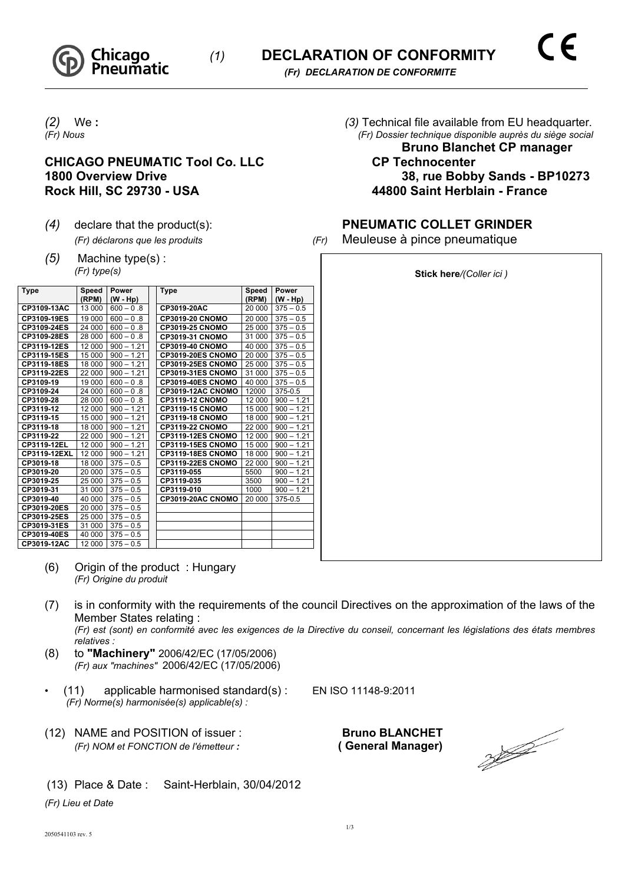

## **CHICAGO PNEUMATIC Tool Co. LLC CP Technocenter** Rock Hill, SC 29730 - USA **44800 Saint Herblain - France**

- 
- *(5)* Machine type(s) : *(Fr) type(s)*

| <b>Type</b>  | Speed<br>(RPM) | Power<br>(W - Hp) | Type                     | Speed<br>(RPM) | Power<br>(W - Hp) |
|--------------|----------------|-------------------|--------------------------|----------------|-------------------|
| CP3109-13AC  | 13 000         | $600 - 0.8$       | CP3019-20AC              | 20 000         | $375 - 0.5$       |
| CP3109-19ES  | 19 000         | $600 - 0.8$       | <b>CP3019-20 CNOMO</b>   | 20 000         | $375 - 0.5$       |
| CP3109-24ES  | 24 000         | $600 - 0.8$       | <b>CP3019-25 CNOMO</b>   | 25 000         | $375 - 0.5$       |
| CP3109-28ES  | 28 000         | $600 - 0.8$       | CP3019-31 CNOMO          | 31 000         | $375 - 0.5$       |
| CP3119-12ES  | 12 000         | $900 - 1.21$      | CP3019-40 CNOMO          | 40 000         | $375 - 0.5$       |
| CP3119-15ES  | 15 000         | $900 - 1.21$      | CP3019-20ES CNOMO        | 20 000         | $375 - 0.5$       |
| CP3119-18ES  | 18 000         | $900 - 1.21$      | <b>CP3019-25ES CNOMO</b> | 25 000         | $375 - 0.5$       |
| CP3119-22ES  | 22 000         | $900 - 1.21$      | CP3019-31ES CNOMO        | 31 000         | $375 - 0.5$       |
| CP3109-19    | 19 000         | $600 - 0.8$       | CP3019-40ES CNOMO        | 40 000         | $375 - 0.5$       |
| CP3109-24    | 24 000         | $600 - 0.8$       | CP3019-12AC CNOMO        | 12000          | 375-0.5           |
| CP3109-28    | 28 000         | $600 - 0.8$       | <b>CP3119-12 CNOMO</b>   | 12 000         | $900 - 1.21$      |
| CP3119-12    | 12 000         | $900 - 1.21$      | <b>CP3119-15 CNOMO</b>   | 15 000         | $900 - 1.21$      |
| CP3119-15    | 15 000         | $900 - 1.21$      | <b>CP3119-18 CNOMO</b>   | 18 000         | $900 - 1.21$      |
| CP3119-18    | 18 000         | $900 - 1.21$      | <b>CP3119-22 CNOMO</b>   | 22 000         | $900 - 1.21$      |
| CP3119-22    | 22 000         | $900 - 1.21$      | CP3119-12ES CNOMO        | 12 000         | $900 - 1.21$      |
| CP3119-12EL  | 12 000         | $900 - 1.21$      | <b>CP3119-15ES CNOMO</b> | 15 000         | $900 - 1.21$      |
| CP3119-12EXL | 12 000         | $900 - 1.21$      | CP3119-18ES CNOMO        | 18 000         | $900 - 1.21$      |
| CP3019-18    | 18 000         | $375 - 0.5$       | CP3119-22ES CNOMO        | 22 000         | $900 - 1.21$      |
| CP3019-20    | 20 000         | $375 - 0.5$       | CP3119-055               | 5500           | $900 - 1.21$      |
| CP3019-25    | 25 000         | $375 - 0.5$       | CP3119-035               | 3500           | $900 - 1.21$      |
| CP3019-31    | 31 000         | $375 - 0.5$       | CP3119-010               | 1000           | $900 - 1.21$      |
| CP3019-40    | 40 000         | $375 - 0.5$       | CP3019-20AC CNOMO        | 20 000         | 375-0.5           |
| CP3019-20ES  | 20 000         | $375 - 0.5$       |                          |                |                   |
| CP3019-25ES  | 25 000         | $375 - 0.5$       |                          |                |                   |
| CP3019-31ES  | 31 000         | $375 - 0.5$       |                          |                |                   |
| CP3019-40ES  | 40 000         | $375 - 0.5$       |                          |                |                   |
| CP3019-12AC  | 12 000         | $375 - 0.5$       |                          |                |                   |

- (6) Origin of the product : Hungary *(Fr) Origine du produit*
- (7) is in conformity with the requirements of the council Directives on the approximation of the laws of the Member States relating : *(Fr) est (sont) en conformité avec les exigences de la Directive du conseil, concernant les législations des états membres relatives :*
- (8) to **"Machinery"** 2006/42/EC (17/05/2006) *(Fr) aux "machines"* 2006/42/EC (17/05/2006)
- (11) applicable harmonised standard(s) : EN ISO 11148-9:2011  *(Fr) Norme(s) harmonisée(s) applicable(s) :*

(13) Place & Date : Saint-Herblain, 30/04/2012

(12) NAME and POSITION of issuer : **Bruno BLANCHET** *(Fr) NOM et FONCTION de l'émetteur :* **( General Manager)**

 $\frac{1}{2}$ 

2050541103 rev. 5

*(Fr) Lieu et Date*

*(2)* We **:** *(3)* Technical file available from EU headquarter*. (Fr) Dossier technique disponible auprès du siège social* 

**Bruno Blanchet CP manager 1800 Overview Drive 38, rue Bobby Sands - BP10273**

## *(4)* declare that the product(s): **PNEUMATIC COLLET GRINDER**

**Stick here***/(Coller ici )*

*(Fr) déclarons que les produits (Fr)* Meuleuse à pince pneumatique

1/3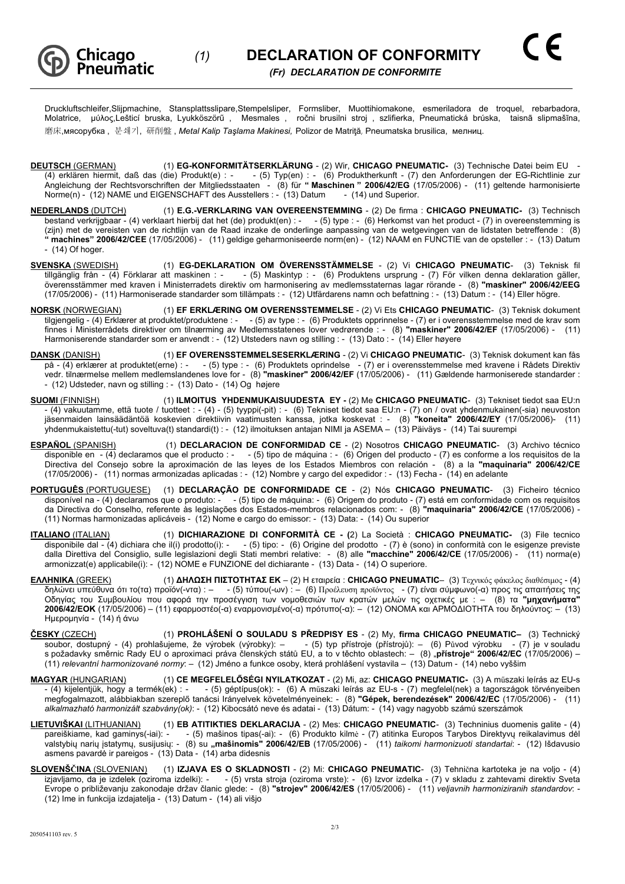

Druckluftschleifer,Slijpmachine, Stansplattsslipare,Stempelsliper, Formsliber, Muottihiomakone, esmeriladora de troquel, rebarbadora, Molatrice, μύλος,Lešticí bruska, Lyukköszörű , Mesmales , ročni brusilni stroj , szlifierka, Pneumatická brúska, taisnã slipmašīna, **磨床,мясорубка, 분쇄기, 研削盤, Metal Kalip Taslama Makinesi, Polizor de Matrită, Pneumatska brusilica, мелниц.** 

- <sup>U</sup>**DEUTSCH** (GERMAN)U (1) **EG-KONFORMITÄTSERKLÄRUNG**  (2) Wir, **CHICAGO PNEUMATIC-** (3) Technische Datei beim EU (4) erklären hiermit, daß das (die) Produkt(e) : - - (5) Typ(en) : - (6) Produktherkunft - (7) den Anforderungen der EG-Richtlinie zur Angleichung der Rechtsvorschriften der Mitgliedsstaaten - (8) für **" Maschinen " 2006/42/EG** (17/05/2006) - (11) geltende harmonisierte Norme(n) - (12) NAME und EIGENSCHAFT des Ausstellers : - (13) Datum - (14) und Superior.
- <sup>U</sup>**NEDERLANDS** (DUTCH)U (1) **E.G.-VERKLARING VAN OVEREENSTEMMING** (2) De firma : **CHICAGO PNEUMATIC-** (3) Technisch bestand verkrijgbaar - (4) verklaart hierbij dat het (de) produkt(en) : - - (5) type : - (6) Herkomst van het product - (7) in overeenstemming is (zijn) met de vereisten van de richtlijn van de Raad inzake de onderlinge aanpassing van de wetgevingen van de lidstaten betreffende : (8) **" machines" 2006/42/CEE** (17/05/2006) - (11) geldige geharmoniseerde norm(en) - (12) NAAM en FUNCTIE van de opsteller : - (13) Datum - (14) Of hoger.
- <sup>U</sup>**SVENSKA** (SWEDISH)U (1) **EG-DEKLARATION OM ÖVERENSSTÄMMELSE**  (2) Vi **CHICAGO PNEUMATIC** (3) Teknisk fil tillgänglig från 1991 för maskinen i 1991 för 1991 för 1991 för 1991 för 1991 för 1991 för 1991 för 1991 för 1 överensstämmer med kraven i Ministerradets direktiv om harmonisering av medlemsstaternas lagar rörande - (8) **"maskiner" 2006/42/EEG**  (17/05/2006) - (11) Harmoniserade standarder som tillämpats : - (12) Utfärdarens namn och befattning : - (13) Datum : - (14) Eller högre.
- <sup>U</sup>**NORSK** (NORWEGIAN)U (1) **EF ERKLÆRING OM OVERENSSTEMMELSE** (2) Vi Ets **CHICAGO PNEUMATIC** (3) Teknisk dokument tilgjengelig - (4) Erklærer at produktet/produktene : - - (5) av type : - (6) Produktets opprinnelse - (7) er i overensstemmelse med de krav som finnes i Ministerrådets direktiver om tilnærming av Medlemsstatenes lover vedrørende : - (8) **"maskiner" 2006/42/EF** (17/05/2006) - (11) Harmoniserende standarder som er anvendt : - (12) Utsteders navn og stilling : - (13) Dato : - (14) Eller høyere
- <sup>U</sup>**DANSK** (DANISH)<sup>U</sup> (1) **EF OVERENSSTEMMELSESERKLÆRING**  (2) Vi **CHICAGO PNEUMATIC** (3) Teknisk dokument kan fås på - (4) erklærer at produktet(erne) : - - (5) type : - (6) Produktets oprindelse - (7) er i overensstemmelse med kravene i Rådets Direktiv vedr. tilnærmelse mellem medlemslandenes love for - (8) **"maskiner" 2006/42/EF** (17/05/2006) - (11) Gældende harmoniserede standarder : - (12) Udsteder, navn og stilling : - (13) Dato - (14) Og højere
- <sup>U</sup>**SUOMI** (FINNISH)<sup>U</sup> (1) **ILMOITUS YHDENMUKAISUUDESTA EY** (2) Me **CHICAGO PNEUMATIC** (3) Tekniset tiedot saa EU:n - (4) vakuutamme, että tuote / tuotteet : - (4) - (5) tyyppi(-pit) : - (6) Tekniset tiedot saa EU:n - (7) on / ovat yhdenmukainen(-sia) neuvoston jäsenmaiden lainsäädäntöä koskevien direktiivin vaatimusten kanssa, jotka koskevat : - (8) **"koneita" 2006/42/EY** (17/05/2006)- (11) yhdenmukaistettu(-tut) soveltuva(t) standardi(t) : - (12) ilmoituksen antajan NIMI ja ASEMA – (13) Päiväys - (14) Tai suurempi
- <sup>U</sup>**ESPAÑOL** (SPANISH)U (1) **DECLARACION DE CONFORMIDAD CE**  (2) Nosotros **CHICAGO PNEUMATIC** (3) Archivo técnico disponible en - (4) declaramos que el producto : - - (5) tipo de máquina : - (6) Origen del producto - (7) es conforme a los requisitos de la Directiva del Consejo sobre la aproximación de las leyes de los Estados Miembros con relación - (8) a la **"maquinaria" 2006/42/CE**  (17/05/2006) - (11) normas armonizadas aplicadas : - (12) Nombre y cargo del expedidor : - (13) Fecha - (14) en adelante
- PORTUGUÊS (PORTUGUESE) (1) DECLARAÇÃO DE CONFORMIDADE CE (2) Nós CHICAGO PNEUMATIC- (3) Ficheiro técnico disponível na - (4) declaramos que o produto: - - (5) tipo de máquina: - (6) Origem do produto - (7) está em conformidade com os requisitos da Directiva do Conselho, referente às legislações dos Estados-membros relacionados com: - (8) **"maquinaria" 2006/42/CE** (17/05/2006) - (11) Normas harmonizadas aplicáveis - (12) Nome e cargo do emissor: - (13) Data: - (14) Ou superior
- <sup>U</sup>**ITALIANO** (ITALIAN)<sup>U</sup> (1) **DICHIARAZIONE DI CONFORMITÀ CE (**2) La Società : **CHICAGO PNEUMATIC-** (3) File tecnico disponibile dal - (4) dichiara che il(i) prodotto(i): - - (5) tipo: - (6) Origine del prodotto - (7) è (sono) in conformità con le esigenze previste dalla Direttiva del Consiglio, sulle legislazioni degli Stati membri relative: - (8) alle **"macchine" 2006/42/CE** (17/05/2006) - (11) norma(e) armonizzat(e) applicabile(i): - (12) NOME e FUNZIONE del dichiarante - (13) Data - (14) O superiore.
- <sup>U</sup>**ΕΛΛΗΝΙΚΑ** (GREEK)<sup>U</sup> (1) **ΔΗΛΩΣΗ ΠΙΣΤΟΤΗΤΑΣ ΕΚ** (2) Η εταιρεία : **CHICAGO PNEUMATIC** (3) Τεχνικός φάκελος διαθέσιμος (4) δηλώνει υπεύθυνα ότι το(τα) προϊόν(-ντα) : – - (5) τύπου(-ων) : – (6) Προέλευση προϊόντος - (7) είναι σύμφωνο(-α) προς τις απαιτήσεις της Οδηγίας του Συμβουλίου που αφορά την προσέγγιση των νομοθεσιών των κρατών μελών τις οχετικές με : – (8) τα **"μηχανήματα" 2006/42/EOK** (17/05/2006) – (11) εφαρμοστέο(-α) εναρμονισμένο(-α) πρότυπο(-α): – (12) ΟΝΟΜΑ και ΑΡΜΟΔΙΟΤΗΤΑ του δηλούντος: – (13) Ημερομηνία - (14) ή άνω
- <sup>U</sup>**ČESKY** (CZECH)<sup>U</sup> (1) **PROHLÁŠENÍ O SOULADU S PŘEDPISY ES** (2) My, **firma CHICAGO PNEUMATIC–** (3) Technický soubor, dostupný - (4) prohlašujeme, že výrobek (výrobky): – - (5) typ přístroje (přístrojů): – (6) Původ výrobku - (7) je v souladu s požadavky směrnic Rady EU o aproximaci práva členských států EU, a to v těchto oblastech: – (8) "**přístroje" 2006/42/EC** (17/05/2006) – (11) *relevantní harmonizované normy*: – (12) Jméno a funkce osoby, která prohlášení vystavila – (13) Datum - (14) nebo vyššim
- <sup>U</sup>**MAGYAR** (HUNGARIAN)<sup>U</sup> (1) **CE MEGFELELŐSÉGI NYILATKOZAT** (2) Mi, az: **CHICAGO PNEUMATIC-** (3) A műszaki leírás az EU-s - (4) kijelentjük, hogy a termék(ek) : - - (5) géptípus(ok): - (6) A műszaki leírás az EU-s - (7) megfelel(nek) a tagországok törvényeiben megfogalmazott, alábbiakban szereplő tanácsi Irányelvek követelményeinek: - (8) **"Gépek, berendezések" 2006/42/EC** (17/05/2006) - (11) *alkalmazható harmonizált szabvány(ok)*: - (12) Kibocsátó neve és adatai - (13) Dátum: - (14) vagy nagyobb számú szerszámok
- <sup>U</sup>**LIETUVIŠKAI** (LITHUANIAN)<sup>U</sup> (1) **EB ATITIKTIES DEKLARACIJA** (2) Mes: **CHICAGO PNEUMATIC** (3) Techninius duomenis galite (4) pareiškiame, kad gaminys(-iai): - - (5) mašinos tipas(-ai): - (6) Produkto kilmė - (7) atitinka Europos Tarybos Direktyvų reikalavimus dėl valstybių narių įstatymų, susijusių: - (8) su "**mašinomis" 2006/42/EB** (17/05/2006) - (11) *taikomi harmonizuoti standartai*: - (12) Išdavusio asmens pavardė ir pareigos - (13) Data - (14) arba didesnis
- <sup>U</sup>**SLOVENŠČINA** (SLOVENIAN)<sup>U</sup> (1) **IZJAVA ES O SKLADNOSTI** (2) Mi: **CHICAGO PNEUMATIC** (3) Tehnična kartoteka je na voljo (4) izjavljamo, da je izdelek (oziroma izdelki): - - (5) vrsta stroja (oziroma vrste): - (6) Izvor izdelka - (7) v skladu z zahtevami direktiv Sveta Evrope o približevanju zakonodaje držav članic glede: - (8) **"strojev" 2006/42/ES** (17/05/2006) - (11) *veljavnih harmoniziranih standardov*: - (12) Ime in funkcija izdajatelja - (13) Datum - (14) ali višjo